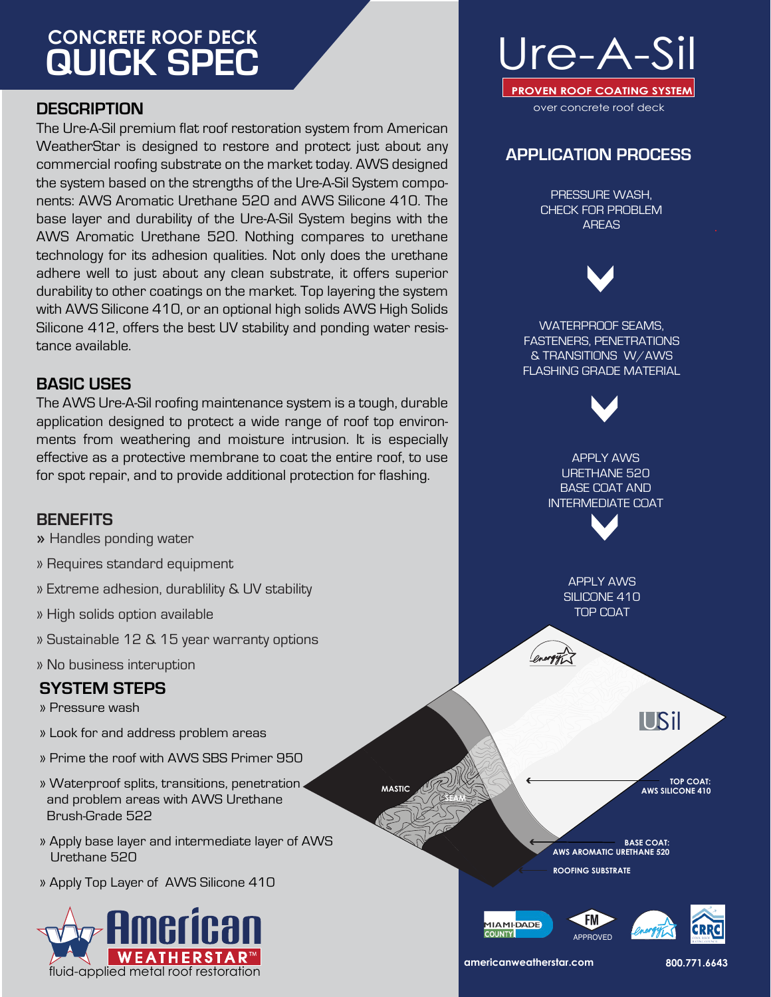## **QUICK SPEC CONCRETE ROOF DECK**

### **DESCRIPTION**

The Ure-A-Sil premium flat roof restoration system from American WeatherStar is designed to restore and protect just about any commercial roofing substrate on the market today. AWS designed the system based on the strengths of the Ure-A-Sil System components: AWS Aromatic Urethane 520 and AWS Silicone 410. The base layer and durability of the Ure-A-Sil System begins with the AWS Aromatic Urethane 520. Nothing compares to urethane technology for its adhesion qualities. Not only does the urethane adhere well to just about any clean substrate, it offers superior durability to other coatings on the market. Top layering the system with AWS Silicone 410, or an optional high solids AWS High Solids Silicone 412, offers the best UV stability and ponding water resistance available.

## **BASIC USES**

The AWS Ure-A-Sil roofing maintenance system is a tough, durable application designed to protect a wide range of roof top environments from weathering and moisture intrusion. It is especially effective as a protective membrane to coat the entire roof, to use for spot repair, and to provide additional protection for flashing.

## **BENEFITS**

- » Handles ponding water
- » Requires standard equipment
- » Extreme adhesion, durablility & UV stability
- » High solids option available
- » Sustainable 12 & 15 year warranty options
- » No business interuption

## **SYSTEM STEPS**

- » Pressure wash
- » Look for and address problem areas
- » Prime the roof with AWS SBS Primer 950
- » Waterproof splits, transitions, penetration and problem areas with AWS Urethane Brush-Grade 522
- » Apply base layer and intermediate layer of AWS Urethane 520
- » Apply Top Layer of AWS Silicone 410





over concrete roof deck

## **APPLICATION PROCESS**

PRESSURE WASH, CHECK FOR PROBLEM **ARFAS** 

WATERPROOF SEAMS, FASTENERS, PENETRATIONS & TRANSITIONS W/AWS FLASHING GRADE MATERIAL

APPLY AWS URETHANE 520 BASE COAT AND INTERMEDIATE COAT



APPLY AWS SILICONE 410 TOP COAT

USil

**TOP COAT: AWS SILICONE 410** 

**BASE COAT: AWS AROMATIC URETHANE 520 ROOFING SUBSTRATE**



**MASTIC**

**SEAM**